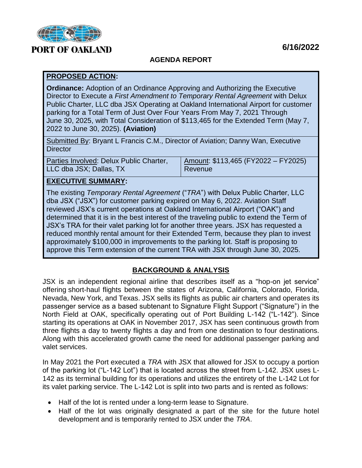

# **PORT OF OAKLAND**

### **AGENDA REPORT**

#### **PROPOSED ACTION:**

**Ordinance:** Adoption of an Ordinance Approving and Authorizing the Executive Director to Execute a *First Amendment to Temporary Rental Agreement* with Delux Public Charter, LLC dba JSX Operating at Oakland International Airport for customer parking for a Total Term of Just Over Four Years From May 7, 2021 Through June 30, 2025, with Total Consideration of \$113,465 for the Extended Term (May 7, 2022 to June 30, 2025). **(Aviation)**

Submitted By: Bryant L Francis C.M., Director of Aviation; Danny Wan, Executive **Director** 

| Parties Involved: Delux Public Charter, | Amount: $$113,465$ (FY2022 - FY2025) |
|-----------------------------------------|--------------------------------------|
| LLC dba JSX; Dallas, TX                 | I Revenue                            |

#### **EXECUTIVE SUMMARY:**

The existing *Temporary Rental Agreement* ("*TRA*") with Delux Public Charter, LLC dba JSX ("JSX") for customer parking expired on May 6, 2022. Aviation Staff reviewed JSX's current operations at Oakland International Airport ("OAK") and determined that it is in the best interest of the traveling public to extend the Term of JSX's TRA for their valet parking lot for another three years. JSX has requested a reduced monthly rental amount for their Extended Term, because they plan to invest approximately \$100,000 in improvements to the parking lot. Staff is proposing to approve this Term extension of the current TRA with JSX through June 30, 2025.

## **BACKGROUND & ANALYSIS**

JSX is an independent regional airline that describes itself as a "hop-on jet service" offering short-haul flights between the states of Arizona, California, Colorado, Florida, Nevada, New York, and Texas. JSX sells its flights as public air charters and operates its passenger service as a based subtenant to Signature Flight Support ("Signature") in the North Field at OAK, specifically operating out of Port Building L-142 ("L-142"). Since starting its operations at OAK in November 2017, JSX has seen continuous growth from three flights a day to twenty flights a day and from one destination to four destinations. Along with this accelerated growth came the need for additional passenger parking and valet services.

In May 2021 the Port executed a *TRA* with JSX that allowed for JSX to occupy a portion of the parking lot ("L-142 Lot") that is located across the street from L-142. JSX uses L-142 as its terminal building for its operations and utilizes the entirety of the L-142 Lot for its valet parking service. The L-142 Lot is split into two parts and is rented as follows:

- Half of the lot is rented under a long-term lease to Signature.
- Half of the lot was originally designated a part of the site for the future hotel development and is temporarily rented to JSX under the *TRA*.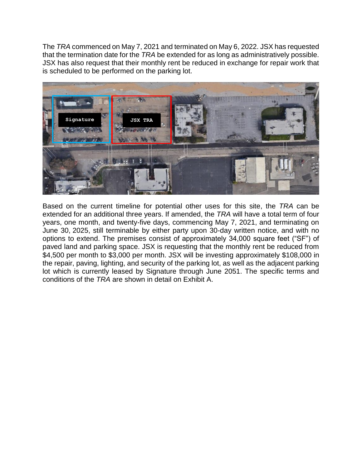The *TRA* commenced on May 7, 2021 and terminated on May 6, 2022. JSX has requested that the termination date for the *TRA* be extended for as long as administratively possible. JSX has also request that their monthly rent be reduced in exchange for repair work that is scheduled to be performed on the parking lot.



Based on the current timeline for potential other uses for this site, the *TRA* can be extended for an additional three years. If amended, the *TRA* will have a total term of four years, one month, and twenty-five days, commencing May 7, 2021, and terminating on June 30, 2025, still terminable by either party upon 30-day written notice, and with no options to extend. The premises consist of approximately 34,000 square feet ("SF") of paved land and parking space. JSX is requesting that the monthly rent be reduced from \$4,500 per month to \$3,000 per month. JSX will be investing approximately \$108,000 in the repair, paving, lighting, and security of the parking lot, as well as the adjacent parking lot which is currently leased by Signature through June 2051. The specific terms and conditions of the *TRA* are shown in detail on Exhibit A.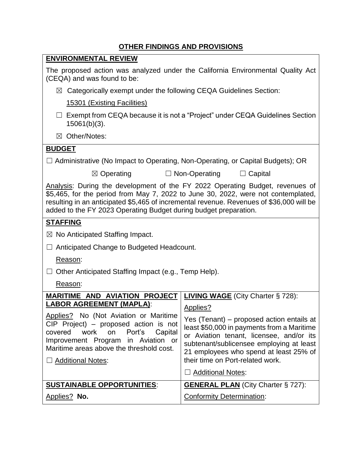## **OTHER FINDINGS AND PROVISIONS**

| <b>ENVIRONMENTAL REVIEW</b>                                                                                                                                                                                                                                                                                                        |                                                                                                                                                                                                                                                               |  |
|------------------------------------------------------------------------------------------------------------------------------------------------------------------------------------------------------------------------------------------------------------------------------------------------------------------------------------|---------------------------------------------------------------------------------------------------------------------------------------------------------------------------------------------------------------------------------------------------------------|--|
| The proposed action was analyzed under the California Environmental Quality Act<br>(CEQA) and was found to be:                                                                                                                                                                                                                     |                                                                                                                                                                                                                                                               |  |
| $\boxtimes$ Categorically exempt under the following CEQA Guidelines Section:                                                                                                                                                                                                                                                      |                                                                                                                                                                                                                                                               |  |
| 15301 (Existing Facilities)                                                                                                                                                                                                                                                                                                        |                                                                                                                                                                                                                                                               |  |
| $\Box$ Exempt from CEQA because it is not a "Project" under CEQA Guidelines Section<br>$15061(b)(3)$ .                                                                                                                                                                                                                             |                                                                                                                                                                                                                                                               |  |
| ⊠ Other/Notes:                                                                                                                                                                                                                                                                                                                     |                                                                                                                                                                                                                                                               |  |
| <b>BUDGET</b>                                                                                                                                                                                                                                                                                                                      |                                                                                                                                                                                                                                                               |  |
| $\Box$ Administrative (No Impact to Operating, Non-Operating, or Capital Budgets); OR                                                                                                                                                                                                                                              |                                                                                                                                                                                                                                                               |  |
| $\boxtimes$ Operating                                                                                                                                                                                                                                                                                                              | $\Box$ Non-Operating<br>$\Box$ Capital                                                                                                                                                                                                                        |  |
| Analysis: During the development of the FY 2022 Operating Budget, revenues of<br>\$5,465, for the period from May 7, 2022 to June 30, 2022, were not contemplated,<br>resulting in an anticipated \$5,465 of incremental revenue. Revenues of \$36,000 will be<br>added to the FY 2023 Operating Budget during budget preparation. |                                                                                                                                                                                                                                                               |  |
| <b>STAFFING</b>                                                                                                                                                                                                                                                                                                                    |                                                                                                                                                                                                                                                               |  |
| $\boxtimes$ No Anticipated Staffing Impact.                                                                                                                                                                                                                                                                                        |                                                                                                                                                                                                                                                               |  |
| Anticipated Change to Budgeted Headcount.                                                                                                                                                                                                                                                                                          |                                                                                                                                                                                                                                                               |  |
| Reason:                                                                                                                                                                                                                                                                                                                            |                                                                                                                                                                                                                                                               |  |
| Other Anticipated Staffing Impact (e.g., Temp Help).                                                                                                                                                                                                                                                                               |                                                                                                                                                                                                                                                               |  |
| Reason:                                                                                                                                                                                                                                                                                                                            |                                                                                                                                                                                                                                                               |  |
| <b>MARITIME AND AVIATION PROJECT</b>                                                                                                                                                                                                                                                                                               | <b>LIVING WAGE</b> (City Charter § 728):                                                                                                                                                                                                                      |  |
| <u>LABOR AGREEMENT (MAPLA):</u>                                                                                                                                                                                                                                                                                                    | Applies?                                                                                                                                                                                                                                                      |  |
| Applies? No (Not Aviation or Maritime<br>$CIP$ Project) – proposed action is not<br>covered<br>work<br>Port's<br>on<br>Capital<br>Improvement Program in Aviation or<br>Maritime areas above the threshold cost.<br>□ Additional Notes:                                                                                            | Yes (Tenant) - proposed action entails at<br>least \$50,000 in payments from a Maritime<br>or Aviation tenant, licensee, and/or its<br>subtenant/sublicensee employing at least<br>21 employees who spend at least 25% of<br>their time on Port-related work. |  |
|                                                                                                                                                                                                                                                                                                                                    | □ Additional Notes:                                                                                                                                                                                                                                           |  |
| <b>SUSTAINABLE OPPORTUNITIES:</b>                                                                                                                                                                                                                                                                                                  | <b>GENERAL PLAN</b> (City Charter § 727):                                                                                                                                                                                                                     |  |
| Applies? No.                                                                                                                                                                                                                                                                                                                       | <b>Conformity Determination:</b>                                                                                                                                                                                                                              |  |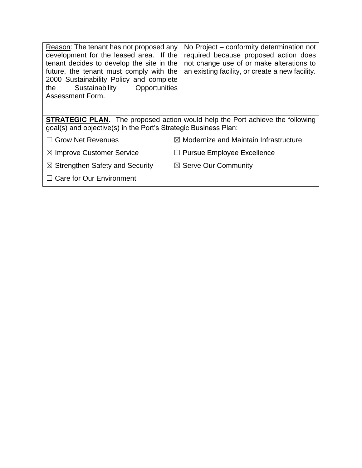| Reason: The tenant has not proposed any<br>development for the leased area. If the<br>tenant decides to develop the site in the<br>future, the tenant must comply with the<br>2000 Sustainability Policy and complete<br>Sustainability<br>Opportunities<br>the<br>Assessment Form. | No Project – conformity determination not<br>required because proposed action does<br>not change use of or make alterations to<br>an existing facility, or create a new facility. |  |
|-------------------------------------------------------------------------------------------------------------------------------------------------------------------------------------------------------------------------------------------------------------------------------------|-----------------------------------------------------------------------------------------------------------------------------------------------------------------------------------|--|
| <b>STRATEGIC PLAN.</b> The proposed action would help the Port achieve the following<br>goal(s) and objective(s) in the Port's Strategic Business Plan:                                                                                                                             |                                                                                                                                                                                   |  |
| $\Box$ Grow Net Revenues                                                                                                                                                                                                                                                            | $\boxtimes$ Modernize and Maintain Infrastructure                                                                                                                                 |  |
| $\boxtimes$ Improve Customer Service                                                                                                                                                                                                                                                | <b>Pursue Employee Excellence</b>                                                                                                                                                 |  |
| $\boxtimes$ Strengthen Safety and Security                                                                                                                                                                                                                                          | $\boxtimes$ Serve Our Community                                                                                                                                                   |  |
| $\Box$ Care for Our Environment                                                                                                                                                                                                                                                     |                                                                                                                                                                                   |  |